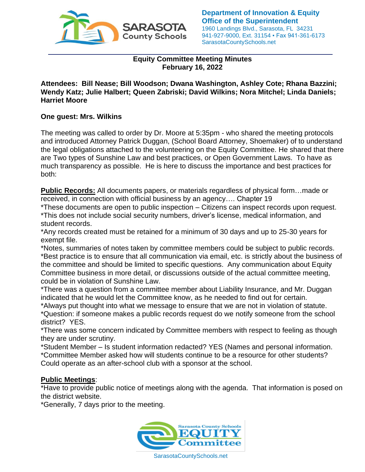

## **Equity Committee Meeting Minutes February 16, 2022**

**Attendees: Bill Nease; Bill Woodson; Dwana Washington, Ashley Cote; Rhana Bazzini; Wendy Katz; Julie Halbert; Queen Zabriski; David Wilkins; Nora Mitchel; Linda Daniels; Harriet Moore**

## **One guest: Mrs. Wilkins**

The meeting was called to order by Dr. Moore at 5:35pm - who shared the meeting protocols and introduced Attorney Patrick Duggan, (School Board Attorney, Shoemaker) of to understand the legal obligations attached to the volunteering on the Equity Committee. He shared that there are Two types of Sunshine Law and best practices, or Open Government Laws. To have as much transparency as possible. He is here to discuss the importance and best practices for both:

**Public Records:** All documents papers, or materials regardless of physical form…made or received, in connection with official business by an agency…. Chapter 19

\*These documents are open to public inspection – Citizens can inspect records upon request. \*This does not include social security numbers, driver's license, medical information, and student records.

\*Any records created must be retained for a minimum of 30 days and up to 25-30 years for exempt file.

\*Notes, summaries of notes taken by committee members could be subject to public records. \*Best practice is to ensure that all communication via email, etc. is strictly about the business of the committee and should be limited to specific questions. Any communication about Equity Committee business in more detail, or discussions outside of the actual committee meeting, could be in violation of Sunshine Law.

\*There was a question from a committee member about Liability Insurance, and Mr. Duggan indicated that he would let the Committee know, as he needed to find out for certain.

\*Always put thought into what we message to ensure that we are not in violation of statute. \*Question: if someone makes a public records request do we notify someone from the school district? YES.

\*There was some concern indicated by Committee members with respect to feeling as though they are under scrutiny.

\*Student Member – Is student information redacted? YES (Names and personal information. \*Committee Member asked how will students continue to be a resource for other students? Could operate as an after-school club with a sponsor at the school.

## **Public Meetings**:

\*Have to provide public notice of meetings along with the agenda. That information is posed on the district website.

\*Generally, 7 days prior to the meeting.